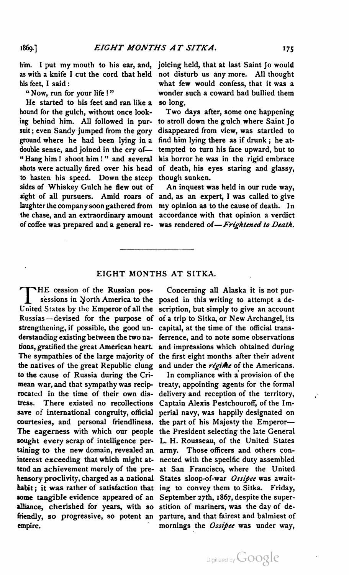his feet, <sup>I</sup> said :

" Now, run for your life ! "

He started to his feet and ran like a hound for the gulch, without once look ing behind him. All followed in pur suit ; even Sandy jumped from the gory ground where he had been lying in a double sense, and joined in the cry of to hasten his speed. Down the steep sides of Whiskey Gulch he flew out of

him. <sup>I</sup> put my mouth to his ear, and, joicing held, that at last Saint Jo would as with a knife <sup>I</sup> cut the cord that held not disturb us any more. All thought what few would confess, that it was a wonder such a coward had bullied them so long.

" Hang him ! shoot him ! " and several his horror he was in the rigid embrace shots were actually fired over his head of death, his eyes staring and glassy, Two days after, some one happening to stroll down the gulch where Saint Jo disappeared from view, was startled to find him lying there as if drunk ; he at tempted to turn his face upward, but to though sunken.

sight of all pursuers. Amid roars of and, as an expert, I was called to give laughter the company soon gathered from my opinion as to the cause of death. In the chase, and an extraordinary amount accordance with that opinion a verdict the chase, and an extraordinary amount accordance with that opinion a verdict<br>of coffee was prepared and a general re- was rendered of—*Frightened to Death*. An inquest was held in our rude way,

## eight months at sitka.

HE cession of the Russian pos-United States by the Emperor of all the scription, but simply to give an account strengthening, if possible, the good un- capital, at the time of the official trans derstanding existing between the two na ference, and to note some observations tions, gratified the great American heart. and impressions which obtained during The sympathies of the large majority of the first eight months after their advent the natives of the great Republic clung and under the *régime* of the Americans. to the cause of Russia during the Cri mean war, and that sympathy was recip- treaty, appointing agents for the formal rocated in the time of their own dis- delivery and reception of the territory. tress. There existed no recollections save of international congruity, official courtesies, and personal friendliness. The eagerness with which our people the President selecting the late General sought every scrap of intelligence per- L. H. Rousseau, of the United States taining to the new domain, revealed an army. Those officers and others con interest exceeding that which might at- nected with the specific duty assembled tend an achievement merely of the pre-at San Francisco, where the United hensory proclivity, charged as a national States sloop-of-war Ossibee was await habit: it was rather of satisfaction that ing to convey them to Sitka. Friday, some tangible evidence appeared of an September 27th, 1867, despite the super alliance, cherished for years, with so stition of mariners, was the day of de friendly, so progressive, so potent an parture, and that fairest and balmiest of empire.

sessions in North America to the posed in this writing to attempt a de United States by the Emperor of all the scription, but simply to give an account<br>Russias—devised for the purpose of of a trip to Sitka, or New Archangel, its Concerning all Alaska it is not pur

In compliance with a provision of the Captain Alexis Pestchouroff, of the Im perial navy, was happily designated on the part of his Majesty the Emperor mornings the Ossipee was under way,

 $\ddot{\phantom{a}}$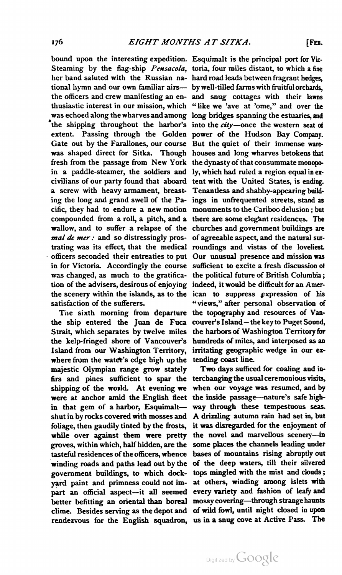bound upon the interesting expedition. Esquimalt is the principal port for Vic Steaming by the flag-ship *Pensacola*, toria, four miles distant, to which a fine her band saluted with the Russian na- hard road leads between fragrant hedges. her band saluted with the Russian na- hard road leads between fragrant hedges,<br>tional livmn and our own familiar airs— by well-tilled farms with fruitful orchards. the officers and crew manifesting an en- and snug cottages with their lawns thusiastic interest in our mission, which "like we 'ave at 'ome," and over the was echoed along the wharves and among long bridges spanning the estuaries, and was echoed along the wharves and among long bridges spanning the estuaries, and<br>the shipping throughout the harbor's into the *city*—once the western seat of extent. Passing through the Golden power of the Hudson Bay Company. Gate out by the Farallones, our course But the quiet of their immense ware was shaped direct for Sitka. Though houses and long wharves betokens that Fresh from the passage from New York the dynasty of that consummate monopo in a paddle-steamer, the soldiers and ly, which had ruled a region equal in excivilians of our party found that aboard tent with the United States, is ending. a screw with heavy armament, breast Tenantless and shabby-appearing build ing the long and grand swell of the Pa- ings in unfrequented streets, stand as cific, they had to endure a new motion monuments to the Cariboo delusion ; but compounded from a roll, a pitch, and a there are some elegant residences. The wallow, and to suffer a relapse of the churches and government buildings are mal de mer : and so distressingly pros- of agreeable aspect, and the natural surtrating was its effect, that the medical roundings and vistas of the loveliest, officers seconded their entreaties to put Our unusual presence and mission was in for Victoria. Accordingly the course was changed, as much to the gratifica-

satisfaction of the sufferers. The sixth morning from departure the topography and resources of Van the ship entered the Juan de Fuca couver's <sup>I</sup> sland — the key to Puget Sound, Strait, which separates by twelve miles the harbors of Washington Territory for the kelp-fringed shore of Vancouver's Island from our Washington Territory, where from the water's edge high up the majestic Olympian range grow stately firs and pines sufficient to spar the terchanging the usual ceremonious visits, shipping of the world. At evening we were at anchor amid the English fleet<br>in that gem of a harbor, Esquimaltshut in by rocks covered with mosses and foliage, then gaudily tinted by the frosts, while over against them were pretty groves, within which, half hidden, are the tasteful residences of the officers, whence winding roads and paths lead out by the government buildings, to which dock yard paint and primness could not im part an official aspect—it all seemed better befitting an oriental than boreal clime. Besides serving as the depot and rendezvous for the English squadron, us in a snug cove at Active Pass. The

tion of the advisers, desirous of enjoying indeed, it would be difficult for an Amer the scenery within the islands, as to the  $\alpha$  ican to suppress expression of his sufficient to excite a fresh discussion ot the political future of British Columbia ; "views," after personal observation of hundreds of miles, and interposed as an irritating geographic wedge in our ex tending coast line. Two days sufficed for coaling and in

when our voyage was resumed, and by the inside passage—nature's safe highway through these tempestuous seas. A drizzling autumn rain had set in, but it was disregarded for the enjoyment of the novel and marvellous scenery—in some places the channels leading under bases of mountains rising abruptly out of the deep waters, till their silvered tops mingled with the mist and clouds ; at others, winding among islets with every variety and fashion of leafy and mossy covering—through strange haunts of wild fowl, until night closed in upon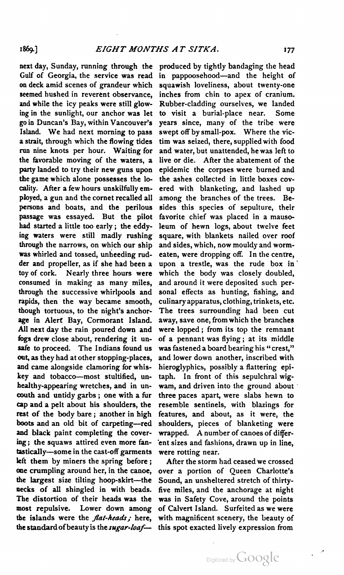next day, Sunday, running through the Gulf of Georgia, the service was read on deck amid scenes of grandeur which seemed hushed in reverent observance, and while the icy peaks were still glow ing in the sunlight, our anchor was let go in Duncan's Bay, within Vancouver's Island. We had next morning to pass a strait, through which the flowing tides run nine knots per hour. Waiting for the favorable moving of the waters, a party landed to try their new guns upon the game which alone possesses the lo cality. After a few hours unskilfully em ployed, a gun and the cornet recalled all persons and boats, and the perilous passage was essayed. But the pilot had started a little too early ; the eddy ing waters were still madly rushing through the narrows, on which our ship was whirled and tossed, unheeding rud der and propeller, as if she had been a toy of cork. Nearly three hours were consumed in making as many miles, through the successive whirlpools and rapids, then the way became smooth, though tortuous, to the night's anchor age in Alert Bay, Cormorant Island. All next day the rain poured down and fogs drew close about, rendering it un safe to proceed. The Indians found us out, as they had at other stopping-places, and came alongside clamoring for whiskey and tobacco—most stultified, un healthy-appearing wretches, and in un couth and untidy garbs ; one with a fur cap and a pelt about his shoulders, the rest of the body bare ; another in high boots and an old bit of carpeting—red and black paint completing the cover ing; the squaws attired even more fan tastically—some in the cast-off garments left them by miners the spring before ; one crumpling around her, in the canoe, the largest size tilting hoop-skirt—the necks of all shingled in with beads. The distortion of their heads was the most repulsive. Lower down among the islands were the *flat-heads*; here, the standard of beauty is the sugar-loaf-

produced by tightly bandaging the head in pappoosehood—and the height of squawish loveliness, about twenty-one inches from chin to apex of cranium. Rubber-cladding ourselves, we landed to visit a burial-place near. Some years since, many of the tribe were swept off by small-pox. Where the vic tim was seized, there, supplied with food and water, but unattended, he was left to live or die. After the abatement of the epidemic the corpses were burned and the ashes collected in little boxes cov ered with blanketing, and lashed up among the branches of the trees. Be sides this species of sepulture, their favorite chief was placed in a mauso leum of hewn logs, about twelve feet square, with blankets nailed over roof and sides, which, now mouldy and wormeaten, were dropping off. In the centre, upon a trestle, was the rude box in which the body was closely doubled, and around it were deposited such per sonal effects as hunting, fishing, and culinary apparatus, clothing, trinkets, etc. The trees surrounding had been cut away, save one, from which the branches were lopped ; from its top the remnant of a pennant was flying ; at its middle was fastened a board bearing his " crest," and lower down another, inscribed with hieroglyphics, possibly a flattering epitaph. In front of this sepulchral wig wam, and driven into the ground about three paces apart, were slabs hewn to resemble sentinels, with blazings for features, and about, as it were, the shoulders, pieces of blanketing were wrapped. A number of canoes of differ ent sizes and fashions, drawn up in line, were rotting near.

After the storm had ceased we crossed over a portion of Queen Charlotte's Sound, an unsheltered stretch of thirtyfive miles, and the anchorage at night was in Safety Cove, around the points of Calvert Island. Surfeited as we were with magnificent scenery, the beauty of this spot exacted lively expression from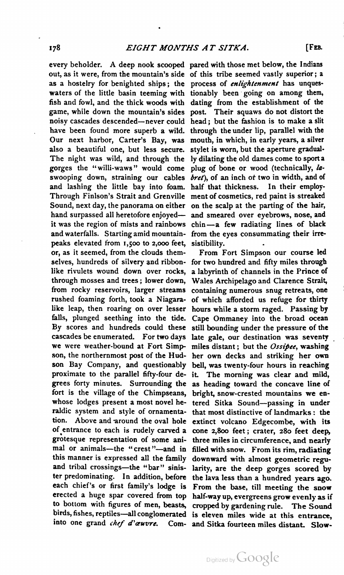out, as it were, from the mountain's side of this tribe seemed vastly superior ; <sup>a</sup> as a hostelry for benighted ships: the process of *enlightenment* has unques waters of the little basin teeming with tionably been going on among them, fish and fowl, and the thick woods with dating from the establishment of the game, while down the mountain's sides post. Their squaws do not distort the game, while down the mountain's sides post. I heir squaws do not distort me<br>noisy cascades descended—never could head: but the fashion is to make a slit have been found more superb a wild, through the under lip, parallel with the Our next harbor, Carter's Bay, was mouth, in which, in early years, a silver also a beautiful one, but less secure, stylet is worn, but the aperture gradual The night was wild, and through the ly dilating the old dames come to sport a gorges the "willi-waws" would come plug of bone or wood (technically, laswooping down, straining our cables  $bref$ ), of an inch of two in width, and of and lashing the little bay into foam. half that thickness. In their employ Through Finlson's Strait and Grenville ment of cosmetics, red paint is streaked Sound, next day, the panorama on either on the scalp at the parting of the hair, Sound, next day, the panorama on either on the scalp at the parting of the hair,<br>hand surpassed all heretofore enjoyed— and smeared over eyebrows, nose, and<br>it was the region of mists and rainbows chin—a few radiating line it was the region of mists and rainbows chin-a few radiating lines of black and waterfalls. Starting amid mountain- from the eves consummating their irrepeaks elevated from 1,500 to 2,000 feet, or, as it seemed, from the clouds them selves, hundreds of silvery and ribbon- for two hundred and fifty miles through like rivulets wound down over rocks, a labyrinth of channels in the Prince of through mosses and trees ; lower down, Wales Archipelago and Clarence Strait, from rocky reservoirs, larger streams containing numerous snug retreats, one rushed foaming forth, took a Niagara- of which afforded us refuge for thirty like leap, then roaring on over lesser hours while a storm raged. Passing by falls, plunged seething into the tide. Cape Ommaney into the broad ocean By scores and hundreds could these still bounding under the pressure of the cascades be enumerated. For two days late gale, our destination was seventy we were weather-bound at Fort Simp- miles distant : but the Ossipee, washing son, the northernmost post of the Hud- her own decks and striking her own son Bay Company, and questionably bell, was twenty-four hours in reaching proximate to the parallel fifty-four de- it. The morning was clear and mild, grees forty minutes. Surrounding the as heading toward the concave line of fort is the village of the Chimpseans, bright, snow-crested mountains we en fort is the village of the Chimpseans, bright, snow-crested mountains we en-<br>whose lodges present a most novel he- tered Sitka Sound—passing in under raldic system and style of ornamenta- that most distinctive of landmarks: the this manner is expressed all the family downward with almost geometric regularity and tribal crossings—the "bar" sinis- larity are the deep governed by

every beholder. A deep nook scooped pared with those met below, the Indians

tion. Above and -around the oval hole extinct volcano Edgecombe, with its of entrance to each is rudely carved a cone 2.800 feet: crater, 280 feet deep, grotesque representation of some ani mal or animals—the "crest"—and in three miles in circumference, and nearly ter predominating. In addition, before the lava less than a hundred years ago. each chief's or first family's lodge is From the base, till meeting the snow erected a huge spar covered from top half-way up, evergreens grow evenly as if to bottom with figures of men, beasts, cropped by gardening rule.<br>
birds, fishes, reptiles—all conglomerated, is alway miles, mide at this contagen Into one grand *chef d'œuvre*. Com- and Sitka fourteen miles distant. Slow From Fort Simpson our course led mal or animals-the "crest"-and in filled with snow. From its rim, radiating larity, are the deep gorges scored by birds, fishes, reptiles-all conglomerated is eleven miles wide at this entrance,

Digitized by Google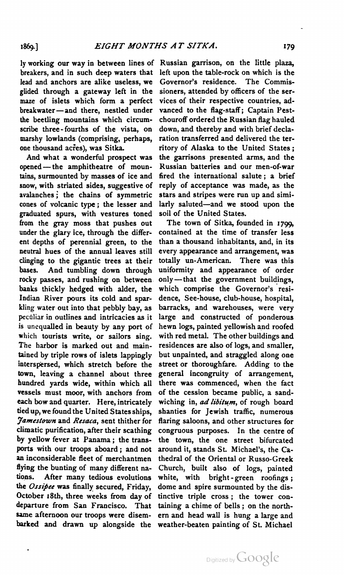ly working our way in between lines of Russian garrison, on the little plaza, breakers, and in such deep waters that lead and anchors are alike useless, we glided through a gateway left in the maze of islets which form a perfect breakwater —and there, nestled under the beetling mountains which circum scribe three -fourths of the vista, on marshy lowlands (comprising, perhaps, one thousand acres), was Sitka.

And what a wonderful prospect was opened-the amphitheatre of mountains, surmounted by masses of ice and snow, with striated sides, suggestive of avalanches ; the chains of symmetric cones of volcanic type ; the lesser and graduated spurs, with vestures toned from the gray moss that pushes out under the glary ice, through the differ ent depths of perennial green, to the neutral hues of the annual leaves still clinging to the gigantic trees at their bases. And tumbling down through rocky passes, and rushing on between banks thickly hedged with alder, the Indian River pours its cold and spar kling water out into that pebbly bay, as peculiar in outlines and intricacies as it is unequalled in beauty by any port of which tourists write, or sailors sing. The harbor is marked out and main tained by triple rows of islets lappingly interspersed, which stretch before the town, leaving a channel about three hundred yards wide, within which all vessels must moor, with anchors from each bow and quarter. Here, intricately tied up, we found the United States ships, Jamestown and Resaca, sent thither for climatic purification, after their scathing by yellow fever at Panama ; the trans ports with our troops aboard ; and not an inconsiderable fleet of merchantmen flying the bunting of many different nations. After many tedious evolutions the Ossipee was finally secured, Friday, October 18th, three weeks from day of departure from San Francisco. That same afternoon our troops were disem barked and drawn up alongside the

left upon the table-rock on which is the Governor's residence. The Commis sioners, attended by officers of the ser vices of their respective countries, ad vanced to the flag-staff; Captain Pestchouroff ordered the Russian flag hauled down, and thereby and with brief decla ration transferred and delivered the ter ritory of Alaska to the United States ; the garrisons presented arms, and the Russian batteries and our men-of-war fired the international salute ; a brief reply of acceptance was made, as the stars and stripes were run up and simi larly saluted—and we stood upon the soil of the United States.

The town of Sitka, founded in 1799, contained at the time of transfer less than a thousand inhabitants, and, in its every appearance and arrangement, was totally un-American. There was this uniformity and appearance of order only —that the government buildings, which comprise the Governor's resi dence, See-house, club-house, hospital, barracks, and warehouses, were very large and constructed of ponderous hewn logs, painted yellowish and roofed with red metal. The other buildings and residences are also of logs, and smaller, but unpainted, and straggled along one street or thoroughfare. Adding to the general incongruity of arrangement, there was commenced, when the fact of the cession became public, a sand wiching in, ad libitum, of rough board shanties for Jewish traffic, numerous flaring saloons, and other structures for congruous purposes. In the centre of the town, the one street bifurcated around it, stands St. Michael's, the Ca thedral of the Oriental or Russo-Greek Church, built also of logs, painted white, with bright-green roofings; dome and spire surmounted by the dis tinctive triple cross ; the tower con taining a chime of bells ; on the north ern and head wall is hung a large and weather-beaten painting of St. Michael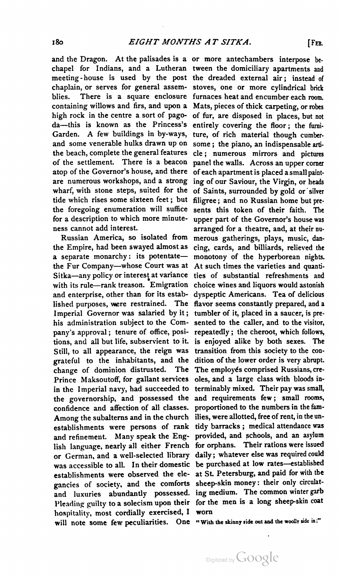chapel for Indians, and a Lutheran tween the domiciliary apartments and meeting-house is used by the post the dreaded external air; instead of chaplain, or serves for general assem- stoves, one or more cylindrical brick blies. There is a square enclosure furnaces heat and encumber each room, containing willows and firs, and upon a Mats, pieces of thick carpeting, or robes high rock in the centre a sort of pagohigh rock in the centre a sort of pago- of fur, are disposed in places, but not da—this is known as the Princess's entirely covering the floor; the furni-Garden. A few buildings in by-ways, ture, of rich material though cumberand some venerable hulks drawn up on some ; the piano, an indispensable artithe beach, complete the general features cle ; numerous mirrors and pictures of the settlement. There is a beacon panel the walls. Across an upper corner atop of the Governor's house, and there of each apartment is placed a small paintare numerous workshops, and a strong ing of our Saviour, the Virgin, or heads wharf, with stone steps, suited for the of Saints, surrounded by gold or silver tide which rises some sixteen feet ; but filigree; and no Russian home but prethe foregoing enumeration will suffice sents this token of their faith. The for a description to which more minute- upper part of the Governor's house was

the Empire, had been swayed almost as cing, cards, and billiards, relieved the <sup>a</sup> separate monarchy : its potentate— monotony of the hyperborean nights, a separate monarchy: its potentate— monotony of the hyperborean nights, the Fur Company—whose Court was at At such times the varieties and quanti-Sitka—any policy or interest at variance ties of substantial refreshments and with its rule—rank treason. Emigration choice wines and liquors would astonish and enterprise, other than for its estab- dyspeptic Americans. Tea of delicious lished purposes, were restrained. The flavor seems constantly prepared, and <sup>a</sup> Imperial Governor was salaried by it ; tumbler of it, placed in a saucer, is prehis administration subject to the Com- sented to the caller, and to the visitor, pany's approval ; tenure of office, posi- repeatedly ; the cheroot, which follows, tions, and all but life, subservient to it. is enjoyed alike by both sexes. The Still, to all appearance, the reign was transition from this society to the congrateful to the inhabitants, and the dition of the lower order is very abrupt, change of dominion distrusted. The The employés comprised Russians, cre-Prince Maksoutoff, for gallant services oles, and a large class with bloods inin the Imperial navy, had succeeded to terminably mixed. Their pay was small, the governorship, and possessed the and requirements few ; small rooms, confidence and affection of all classes, proportioned to the numbers in the fam-Among the subalterns and in the church ilies, were allotted, free of rent, in the unestablishments were persons of rank tidy barracks ; medical attendance was and refinement. Many speak the Eng- provided, and schools, and an asylum lish language, nearly all either French for orphans. Their rations were issued or German, and a well-selected library daily ; whatever else was required could was accessible to all. In their domestic be purchased at low rates—established was accessible to all. In their domestic be purchased at low rates—established establishments were observed the ele- at St. Petersburg, and paid for with the gancies of society, and the comforts sheep-skin money : their only circulatand luxuries abundantly possessed, ing medium. The common winter garb Pleading guilty to a solecism upon their for the men is a long sheep-skin coat hospitality, most cordially exercised, <sup>I</sup> worn will note some few peculiarities. One "With the skinny side out and the woolly side in;"

and the Dragon. At the palisades is a or more antechambers interpose beness cannot add interest. arranged for a theatre, and, at their nu-Russian America, so isolated from merous gatherings, plays, music, dan-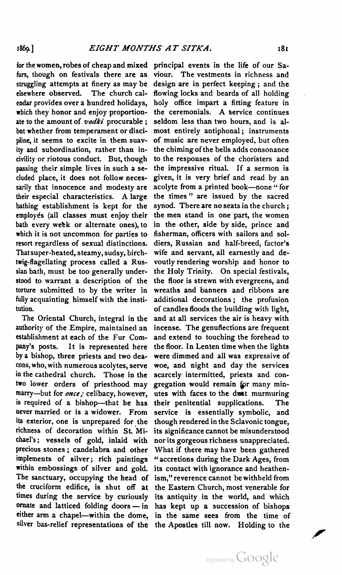for the women, robes of cheap and mixed principal events in the life of our Sa furs, though on festivals there are as struggling attempts at finery as may be elsewhere observed. The church cal endar provides over a hundred holidays, which they honor and enjoy proportionate to the amount of vodki procurable; but whether from temperament or disci pline, it seems to excite in them suav ity and subordination, rather than in civility or riotous conduct. But, though passing their simple lives in such a se cluded place, it does not follow neces sarily that innocence and modesty are their especial characteristics. A large bathing establishment is kept for the employe's (all classes must enjoy their bath every week or alternate ones), to which it is not uncommon for parties to resort regardless of sexual distinctions. That super-heated, steamy, sudsy, birchtwig-flagellating process called a Rus sian bath, must be too generally under stood to warrant a description of the torture submitted to by the writer in fully acquainting himself with the insti tution.

The Oriental Church, integral in the authority of the Empire, maintained an establishment at each of the Fur Com pany's posts. It is represented here by a bishop, three priests and two dea cons, who, with numerous acolytes, serve in the cathedral church. Those in the two lower orders of priesthood may marry-but for once; celibacy, however, is required of <sup>a</sup> bishop—that he has never married or is a widower. From its exterior, one is unprepared for the richness of decoration within St. Mi chael's ; vessels of gold, inlaid with precious stones ; candelabra and other implements of silver; rich paintings within embossings of silver and gold. The sanctuary, occupying the head of the cruciform edifice, is shut off at times during the service by curiously ornate and latticed folding doors — in ornate and latticed folding doors  $-$  in either arm a chapel—within the dome,

silver bas-relief representations of the the Apostles till now. Holding to the viour. The vestments in richness and design are in perfect keeping ; and the flowing locks and beards of all holding holy office impart a fitting feature in the ceremonials. A service continues seldom less than two hours, and is al most entirely antiphonal ; instruments of music are never employed, but often the chiming of the bells adds consonance to the responses of the choristers and the impressive ritual. If a sermon is given, it is very brief and read by an acolyte from <sup>a</sup> printed book—none " for the times " are issued by the sacred synod. There are no seats in the church ; the men stand in one part, the women in the other, side by side, prince and fisherman, officers with sailors and sol diers, Russian and half-breed, factor's wife and servant, all earnestly and de voutly rendering worship and honor to the Holy Trinity. On special festivals, the floor is strewn with evergreens, and wreaths and banners and ribbons are additional decorations ; the profusion of candles floods the building with light, and at all services the air is heavy with incense. The genuflections are frequent and extend to touching the forehead to the floor. In Lenten time when the lights were dimmed and all was expressive of woe, and night and day the services scarcely intermitted, priests and con gregation would remain for many minutes with faces to the dust murmuring their penitential supplications. The service is essentially symbolic, and though rendered in the Sclavonic tongue, its significance cannot be misunderstood nor its gorgeous richness unappreciated. What if there may have been gathered " accretions during the Dark Ages, from its contact with ignorance and heathen ism," reverence cannot be withheld from the Eastern Church, most venerable for its antiquity in the world, and which has kept up a succession of bishops in the same sees from the time of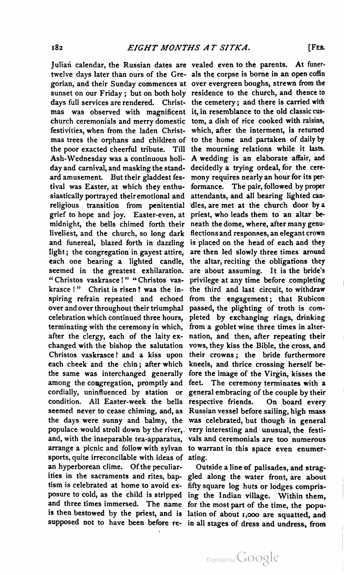mas was observed with magnificent it, in resemblance to the old classic cus festivities, when from the laden Christ- which, after the interment, is returned day and carnival, and masking the stand decidedly a trying ordeal, for the cere ard amusement. But their gladdest fes tival was Easter, at which they enthu siastically portrayed their emotional and attendants, and all bearing lighted can religious transition from penitential dles, are met at the church door by a grief to hope and joy. Easter-even, at priest, who leads them to an altar be midnight, the bells chimed forth their neath the dome, where, after many genu liveliest, and the church, so long dark flections and responses, an elegant crown and funereal, blazed forth in dazzling is placed on the head of each and they light ; the congregation in gayest attire, each one bearing a lighted candle, seemed in the greatest exhilaration. " Christos vaskrasce ! " " Christos vaskrasce !" Christ is risen! was the inspiring refrain repeated and echoed over and over throughout their triumphal celebration which continued three hours, pleted by exchanging rings, drinking terminating with the ceremony in which, after the clergy, each of the laity ex changed with the bishop the salutation Christos vaskrasce ! and a kiss upon each cheek and the chin: after which the same was interchanged generally among the congregation, promptly and cordially, uninfluenced by station or condition. All Easter-week the bells seemed never to cease chiming, and, as the days were sunny and balmy, the populace would stroll down by the river, . very interesting and unusual, the festi and, with the inseparable tea-apparatus. vals and ceremonials are too numerous arrange a picnic and follow with sylvan sports, quite irreconcilable with ideas of ating. an hyperborean clime. Of the peculiar ities in the sacraments and rites, bap- gled along the water front are about tism is celebrated at home to avoid ex-<br>fifty square log huts or lodges compris posure to cold, as the child is stripped ing the Indian village. Within them, Frame to see, as the sime is surpped ing the multin village. Within them<br>and three times immersed. The name for the most part of the time, the popu is then bestowed by the priest, and is lation of about 1,000 are squatted, and supposed not to have been before re- in all stages of dress and undress, from

Iulian calendar, the Russian dates are vealed even to the parents. At funertwelve days later than ours of the Gre- als the corpse is borne in an open coffin gorian, and their Sunday commences at over evergreen boughs, strewn from the sunset on our Friday ; but on both holy residence to the church, and thence to days full services are rendered. Christ- the cemetery; and there is carried with church ceremonials and merry domestic tom, a dish of rice cooked with raisins, mas trees the orphans and children of to the home and partaken of daily by the poor exacted cheerful tribute. Till the mourning relations while it lasts. Ash-Wednesday was a continuous holi A wedding is an elaborate affair, and mony requires nearly an hour for its per formance. The pair, followed by proper are then led slowly three times around the altar, reciting the obligations they are about assuming. It is the bride's privilege at any time before completing the third and last circuit, to withdraw from the engagement; that Rubicon passed, the plighting of troth is com from a goblet wine three times in alter nation, and then, after repeating their vows, they kiss the Bible, the cross, and their crowns ; the bride furthermore kneels, and thrice crossing herself be fore the image of the Virgin, kisses the feet. The ceremony terminates with a general embracing of the couple by their respective friends. On board every Russian vessel before sailing, high mass was celebrated, but though in general to warrant in this space even enumer

Outside a line of palisades, and strag

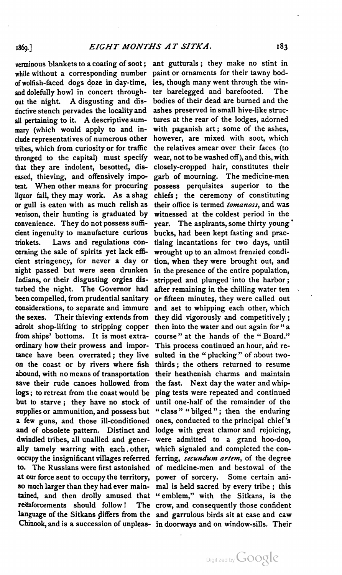while without a corresponding number paint or ornaments for their tawny bod of wolfish-faced dogs doze in day-time, and dolefully howl in concert through out the night. A disgusting and dis tinctive stench pervades the locality and all pertaining to it. A descriptive sum mary (which would apply to and in clude representatives of numerous other tribes, which from curiosity or for traffic thronged to the capital) must specify that they are indolent, besotted, dis eased, thieving, and offensively impo tent, When other means for procuring liquor fail, they may work. As a shag or gull is eaten with as much relish as venison, their hunting is graduated by convenience. They do not possess suffi cient ingenuity to manufacture curious trinkets. Laws and regulations con cerning the sale of spirits yet lack effi cient stringency, for never a day or night passed but were seen drunken Indians, or their disgusting orgies dis turbed the night. The Governor had been compelled, from prudential sanitary considerations, to separate and immure the sexes. Their thieving extends from adroit shop-lifting to stripping copper from ships' bottoms. It is most extra ordinary how their prowess and impor tance have been overrated ; they live on the coast or by rivers where fish abound, with no means of transportation save their rude canoes hollowed from logs ; to retreat from the coast would be but to starve ; they have no stock of supplies or ammunition, and possess but a few guns, and those ill-conditioned ones, conducted to the principal chief's and of obsolete pattern. Distinct and lodge with great clamor and rejoicing, dwindled tribes, all unallied and gener- were admitted to a grand hoo-doo, ally tamely warring with each . other, which signaled and completed the con occupy the insignificant villages referred ferring, *secundum artem*, of the degree to. The Russians were first astonished of medicine-men and bestowal of the at our force sent to occupy the territory, power of sorcery. Some certain ani

verminous blankets to a coating of soot ; ant gutturals ; they make no stint in so much larger than they had ever main- mal is held sacred by every tribe; this tained, and then drolly amused that " emblem," with the Sitkans, is the reenforcements should follow! The crow, and consequently those confident language of the Sitkans differs from the and garrulous birds sit at ease and caw Chinook, and is a succession of unpleas- in doorways and on window-sills. Their ies, though many went through the win ter barelegged and barefooted. The bodies of their dead are burned and the ashes preserved in small hive-like struc tures at the rear of the lodges, adorned with paganish art; some of the ashes. however, are mixed with soot, which the relatives smear over their faces (to wear, not to be washed off), and this, with closely-cropped hair, constitutes their garb of mourning. The medicine-men possess perquisites superior to the chiefs ; the ceremony of constituting their office is termed *tomanoss*, and was witnessed at the coldest period in the year. The aspirants, some thirty young ' bucks, had been kept fasting and prac tising incantations for two days, until wrought up to an almost frenzied condi tion, when they were brought out, and in the presence of the entire population, stripped and plunged into the harbor ; after remaining in the chilling water ten or fifteen minutes, they were called out and set to whipping each other, which they did vigorously and competitively ; then into the water and out again for "a course" at the hands of the "Board." This process continued an hour, and re sulted in the " plucking" of about twothirds ; the others returned to resume their heathenish charms and maintain the fast. Next day the water and whip ping tests were repeated and continued until one-half of the remainder of the " class" " bilged"; then the enduring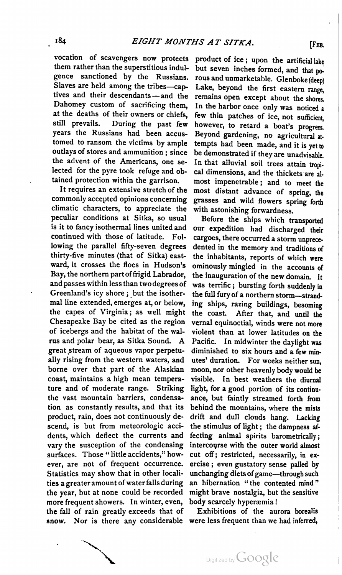vocation of scavengers now protects them rather than the superstitious indul gence sanctioned by the Russians.<br>Slaves are held among the tribes—cap-Slaves are held among the tribes-cap-<br>tives and their descendants-and the Dahomey custom of sacrificing them. at the deaths of their owners or chiefs, still prevails. During the past few years the Russians had been accus tomed to ransom the victims by ample outlays of stores and ammunition ; since the advent of the Americans, one se lected for the pyre took refuge and ob tained protection within the garrison.

It requires an extensive stretch of the commonly accepted opinions concerning climatic characters, to appreciate the peculiar conditions at Sitka, so usual is it to fancy isothermal lines united and continued with those of latitude. Fol lowing the parallel fifty-seven degrees thirty-five minutes (that of Sitka) east ward, it crosses the floes in Hudson's Bay, the northern part of frigid Labrador, and passes within less than two degrees of Greenland's icy shore ; but the isother mal line extended, emerges at, or below, the capes of Virginia; as well might Chesapeake Bay be cited as the region of icebergs and the habitat of the wal rus and polar bear, as Sitka Sound. A great stream of aqueous vapor perpetu ally rising from the western waters, and borne over that part of the Alaskian coast, maintains a high mean tempera ture and of moderate range. Striking the vast mountain barriers, condensa tion as constantly results, and that its product, rain, does not continuously de scend, is but from meteorologic acci dents, which deflect the currents and vary the susception of the condensing surfaces. Those "little accidents," however, are not of frequent occurrence. Statistics may show that in other locali ties a greater amount of water falls during the year, but at none could be recorded more frequent showers. In winter, even, the fall of rain greatly exceeds that of snow. Nor is there any considerable were less frequent than we had inferred,

product of ice ; upon the artificial lake but seven inches formed, and that po rous and unmarketable. Glenboke (deep) Lake, beyond the first eastern range, remains open except about the shores. In the harbor once only was noticed <sup>a</sup> few thin patches of ice, not sufficient, however, to retard a boat's progress. Beyond gardening, no agricultural at tempts had been made, and it is yet to be demonstrated if they are unadvisable. In that alluvial soil trees attain tropi cal dimensions, and the thickets are al most impenetrable ; and to meet the most distant advance of spring, the grasses and wild flowers spring forth with astonishing forwardness.

Before the ships which transported our expedition had discharged their cargoes, there occurred a storm unprece dented in the memory and traditions of the inhabitants, reports of which were ominously mingled in the accounts of the inauguration of the new domain. It was terrific ; bursting forth suddenly in the full fury of <sup>a</sup> northern storm—strand ing ships, razing buildings, besoming the coast. After that, and until the vernal equinoctial, winds were not more violent than at lower latitudes on the Pacific. In midwinter the daylight was diminished to six hours and a few min utes' duration. For weeks neither sun, moon, nor other heavenly body would be visible. In best weathers the diurnal light, for a good portion of its continu ance, but faintly streamed forth from behind the mountains, where the mists drift and dull clouds hang. Lacking the stimulus of light ; the dampness af fecting animal spirits barometrically; intercourse with the outer world almost cut off; restricted, necessarily, in exercise ; even gustatory sense palled by<br>unchanging diets of game---through such an hibernation "the contented mind" might brave nostalgia, but the sensitive body scarcely hyperemia !

Exhibitions of the aurora borealis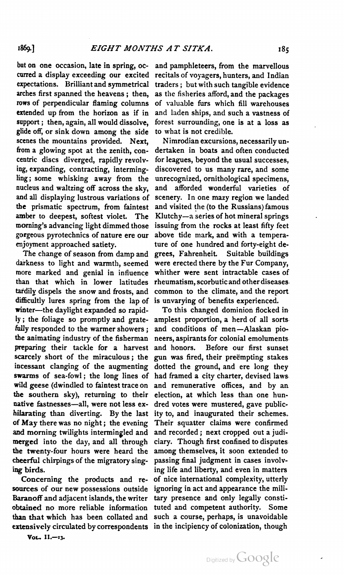but on one occasion, late in spring, oc and pamphleteers, from the marvellous curred a display exceeding our excited expectations. Brilliant and symmetrical arches first spanned the heavens ; then, rows of perpendicular flaming columns extended up from the horizon as if in support ; then, again, all would dissolve, glide off, or sink down among the side scenes the mountains provided. Next, from a glowing spot at the zenith, con centric discs diverged, rapidly revolv ing, expanding, contracting, interming ling; some whisking away from the nucleus and waltzing off across the sky, and all displaying lustrous variations of the prismatic spectrum, from faintest amber to deepest, softest violet. The morning's advancing light dimmed those gorgeous pyrotechnics of nature ere our enjoyment approached satiety.

The change of season from damp and darkness to light and warmth, seemed more marked and genial in influence than that which in lower latitudes tardily dispels the snow and frosts, and difficultly lures spring from the lap of winter—the daylight expanded so rapid ly ; the foliage so promptly and grate fully responded to the warmer showers ; the animating industry of the fisherman preparing their tackle for a harvest and honors. scarcely short of the miraculous ; the incessant clanging of the augmenting swarms of sea-fowl ; the long lines of wild geese (dwindled to faintest trace on the southern sky), returning to their native fastnesses—all, were not less ex hilarating than diverting. By the last of May there was no night ; the evening and morning twilights intermingled and merged into the day, and all through the twenty-four hours were heard the cheerful chirpings of the migratory sing ing birds.

Concerning the products and re sources of our new possessions outside Baranoff and adjacent islands, the writer obtained no more reliable information than that which has been collated and

Vol. II.—13.

recitals of voyagers, hunters, and Indian traders ; but with such tangible evidence as the fisheries afford, and the packages of valuable furs which fill warehouses and laden ships, and such a vastness of forest surrounding, one is at a loss as to what is not credible.

Nimrodian excursions, necessarily undertaken in boats and often conducted for leagues, beyond the usual successes, discovered to us many rare, and some unrecognized, ornithological specimens, and afforded wonderful varieties of scenery. In one mazy region we landed and visited the (to the Russians) famous Klutchy—a series of hot mineral springs issuing from the rocks at least fifty feet above tide mark, and with a tempera ture of one hundred and forty-eight de grees, Fahrenheit. Suitable buildings were erected there by the Fur Company, whither were sent intractable cases of rheumatism, scorbutic and other diseases common to the climate, and the report is unvarying of benefits experienced.

extensively circulated by correspondents in the incipiency of colonization, though To this changed dominion flocked in amplest proportion, a herd of all sorts and conditions of men —Alaskan pio neers, aspirants for colonial emoluments Before our first sunset gun was fired, their preëmpting stakes dotted the ground, and ere long they had framed a city charter, devised laws and remunerative offices, and by an election, at which less than one hun dred votes were mustered, gave public ity to, and inaugurated their schemes. Their squatter claims were confirmed and recorded ; next cropped out a judi ciary. Though first confined to disputes among themselves, it soon extended to passing final judgment in cases involv ing life and liberty, and even in matters of nice international complexity, utterly ignoring in act and appearance the mili tary presence and only legally consti tuted and competent authority. Some such a course, perhaps, is unavoidable